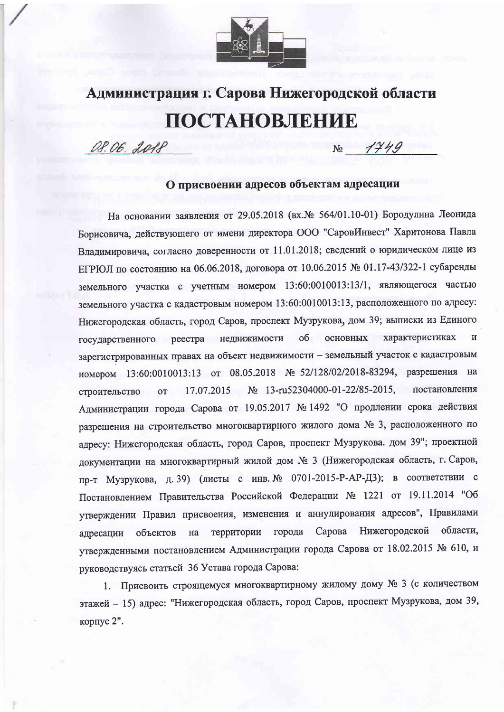

## Администрация г. Сарова Нижегородской области ПОСТАНОВЛЕНИЕ

OS. 06. 2018

 $1749$  $N_{\Omega}$ 

## О присвоении адресов объектам адресации

На основании заявления от 29.05.2018 (вх. № 564/01.10-01) Бородулина Леонида Борисовича, действующего от имени директора ООО "СаровИнвест" Харитонова Павла Владимировича, согласно доверенности от 11.01.2018; сведений о юридическом лице из ЕГРЮЛ по состоянию на 06.06.2018, договора от 10.06.2015 № 01.17-43/322-1 субаренды земельного участка с учетным номером 13:60:0010013:13/1, являющегося частью земельного участка с кадастровым номером 13:60:0010013:13, расположенного по адресу: Нижегородская область, город Саров, проспект Музрукова, дом 39; выписки из Единого об основных характеристиках  $\overline{M}$ реестра недвижимости государственного зарегистрированных правах на объект недвижимости - земельный участок с кадастровым номером 13:60:0010013:13 от 08.05.2018 № 52/128/02/2018-83294, разрешения на № 13-ru52304000-01-22/85-2015, постановления 17.07.2015 строительство **OT** Администрации города Сарова от 19.05.2017 № 1492 "О продлении срока действия разрешения на строительство многоквартирного жилого дома № 3, расположенного по адресу: Нижегородская область, город Саров, проспект Музрукова. дом 39"; проектной документации на многоквартирный жилой дом № 3 (Нижегородская область, г. Саров, пр-т Музрукова, д. 39) (листы с инв. № 0701-2015-Р-АР-ДЗ); в соответствии с Постановлением Правительства Российской Федерации № 1221 от 19.11.2014 "Об утверждении Правил присвоения, изменения и аннулирования адресов", Правилами Сарова Нижегородской области, территории города объектов на адресации утвержденными постановлением Администрации города Сарова от 18.02.2015 № 610, и руководствуясь статьей 36 Устава города Сарова:

1. Присвоить строящемуся многоквартирному жилому дому № 3 (с количеством этажей - 15) адрес: "Нижегородская область, город Саров, проспект Музрукова, дом 39, корпус 2".